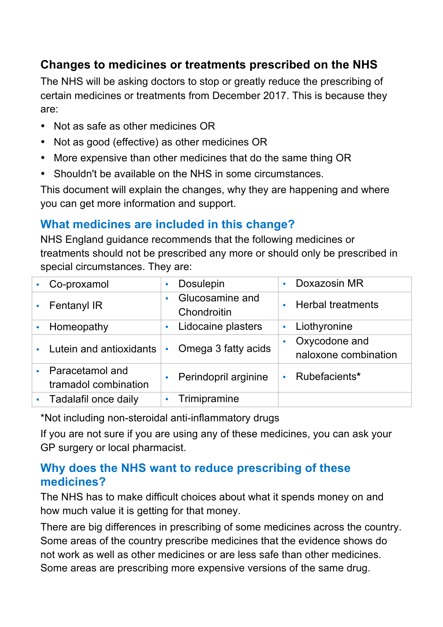### **Changes to medicines or treatments prescribed on the NHS**

The NHS will be asking doctors to stop or greatly reduce the prescribing of certain medicines or treatments from December 2017. This is because they are:

- Not as safe as other medicines OR
- Not as good (effective) as other medicines OR
- More expensive than other medicines that do the same thing OR
- Shouldn't be available on the NHS in some circumstances.

This document will explain the changes, why they are happening and where you can get more information and support.

# **What medicines are included in this change?**

NHS England guidance recommends that the following medicines or treatments should not be prescribed any more or should only be prescribed in special circumstances. They are:

|           | Co-proxamol                             | <b>Dosulepin</b><br>$\bullet$               | Doxazosin MR<br>$\bullet$                          |
|-----------|-----------------------------------------|---------------------------------------------|----------------------------------------------------|
|           | <b>Fentanyl IR</b>                      | Glucosamine and<br>$\bullet$<br>Chondroitin | <b>Herbal treatments</b><br>$\bullet$              |
|           | Homeopathy                              | Lidocaine plasters<br>$\bullet$             | Liothyronine<br>$\bullet$                          |
|           | Lutein and antioxidants                 | Omega 3 fatty acids<br>$\bullet$            | Oxycodone and<br>$\bullet$<br>naloxone combination |
|           | Paracetamol and<br>tramadol combination | Perindopril arginine<br>$\bullet$           | Rubefacients*                                      |
| $\bullet$ | Tadalafil once daily                    | Trimipramine<br>$\bullet$                   |                                                    |

\*Not including non-steroidal anti-inflammatory drugs

If you are not sure if you are using any of these medicines, you can ask your GP surgery or local pharmacist.

#### **Why does the NHS want to reduce prescribing of these medicines?**

The NHS has to make difficult choices about what it spends money on and how much value it is getting for that money.

There are big differences in prescribing of some medicines across the country. Some areas of the country prescribe medicines that the evidence shows do not work as well as other medicines or are less safe than other medicines. Some areas are prescribing more expensive versions of the same drug.